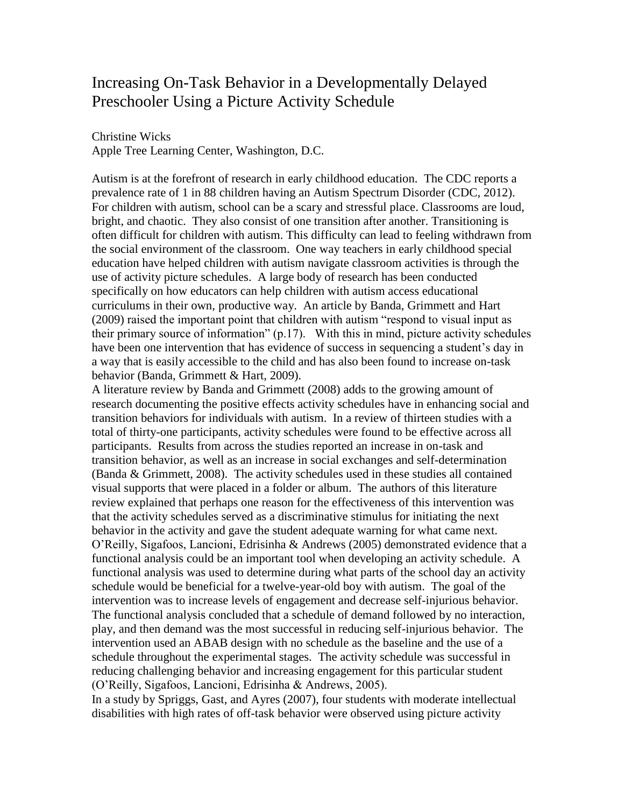# Increasing On-Task Behavior in a Developmentally Delayed Preschooler Using a Picture Activity Schedule

Christine Wicks

Apple Tree Learning Center, Washington, D.C.

Autism is at the forefront of research in early childhood education. The CDC reports a prevalence rate of 1 in 88 children having an Autism Spectrum Disorder (CDC, 2012). For children with autism, school can be a scary and stressful place. Classrooms are loud, bright, and chaotic. They also consist of one transition after another. Transitioning is often difficult for children with autism. This difficulty can lead to feeling withdrawn from the social environment of the classroom. One way teachers in early childhood special education have helped children with autism navigate classroom activities is through the use of activity picture schedules. A large body of research has been conducted specifically on how educators can help children with autism access educational curriculums in their own, productive way. An article by Banda, Grimmett and Hart (2009) raised the important point that children with autism "respond to visual input as their primary source of information" (p.17). With this in mind, picture activity schedules have been one intervention that has evidence of success in sequencing a student's day in a way that is easily accessible to the child and has also been found to increase on-task behavior (Banda, Grimmett & Hart, 2009).

A literature review by Banda and Grimmett (2008) adds to the growing amount of research documenting the positive effects activity schedules have in enhancing social and transition behaviors for individuals with autism. In a review of thirteen studies with a total of thirty-one participants, activity schedules were found to be effective across all participants. Results from across the studies reported an increase in on-task and transition behavior, as well as an increase in social exchanges and self-determination (Banda & Grimmett, 2008). The activity schedules used in these studies all contained visual supports that were placed in a folder or album. The authors of this literature review explained that perhaps one reason for the effectiveness of this intervention was that the activity schedules served as a discriminative stimulus for initiating the next behavior in the activity and gave the student adequate warning for what came next. O'Reilly, Sigafoos, Lancioni, Edrisinha & Andrews (2005) demonstrated evidence that a functional analysis could be an important tool when developing an activity schedule. A functional analysis was used to determine during what parts of the school day an activity schedule would be beneficial for a twelve-year-old boy with autism. The goal of the intervention was to increase levels of engagement and decrease self-injurious behavior. The functional analysis concluded that a schedule of demand followed by no interaction, play, and then demand was the most successful in reducing self-injurious behavior. The intervention used an ABAB design with no schedule as the baseline and the use of a schedule throughout the experimental stages. The activity schedule was successful in reducing challenging behavior and increasing engagement for this particular student (O'Reilly, Sigafoos, Lancioni, Edrisinha & Andrews, 2005).

In a study by Spriggs, Gast, and Ayres (2007), four students with moderate intellectual disabilities with high rates of off-task behavior were observed using picture activity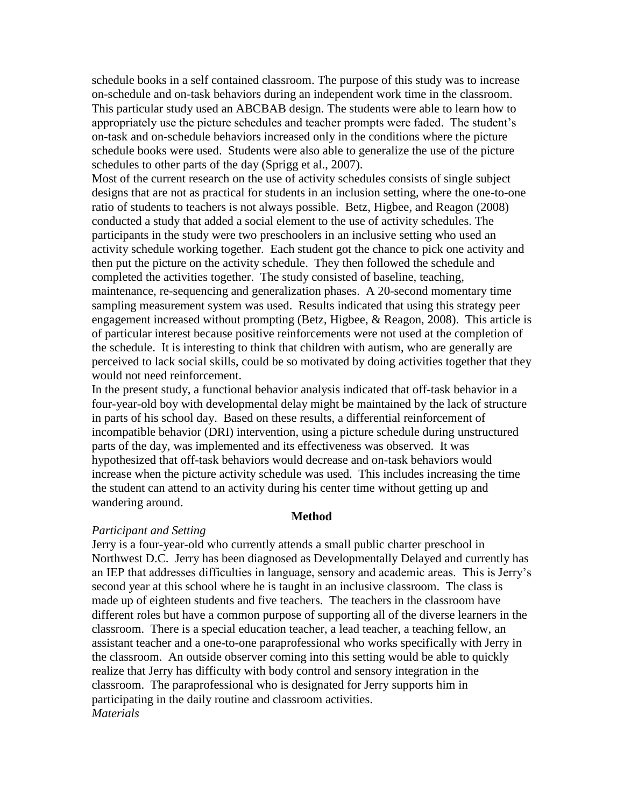schedule books in a self contained classroom. The purpose of this study was to increase on-schedule and on-task behaviors during an independent work time in the classroom. This particular study used an ABCBAB design. The students were able to learn how to appropriately use the picture schedules and teacher prompts were faded. The student's on-task and on-schedule behaviors increased only in the conditions where the picture schedule books were used. Students were also able to generalize the use of the picture schedules to other parts of the day (Sprigg et al., 2007).

Most of the current research on the use of activity schedules consists of single subject designs that are not as practical for students in an inclusion setting, where the one-to-one ratio of students to teachers is not always possible. Betz, Higbee, and Reagon (2008) conducted a study that added a social element to the use of activity schedules. The participants in the study were two preschoolers in an inclusive setting who used an activity schedule working together. Each student got the chance to pick one activity and then put the picture on the activity schedule. They then followed the schedule and completed the activities together. The study consisted of baseline, teaching, maintenance, re-sequencing and generalization phases. A 20-second momentary time sampling measurement system was used. Results indicated that using this strategy peer engagement increased without prompting (Betz, Higbee, & Reagon, 2008). This article is of particular interest because positive reinforcements were not used at the completion of the schedule. It is interesting to think that children with autism, who are generally are perceived to lack social skills, could be so motivated by doing activities together that they would not need reinforcement.

In the present study, a functional behavior analysis indicated that off-task behavior in a four-year-old boy with developmental delay might be maintained by the lack of structure in parts of his school day. Based on these results, a differential reinforcement of incompatible behavior (DRI) intervention, using a picture schedule during unstructured parts of the day, was implemented and its effectiveness was observed. It was hypothesized that off-task behaviors would decrease and on-task behaviors would increase when the picture activity schedule was used. This includes increasing the time the student can attend to an activity during his center time without getting up and wandering around.

#### **Method**

#### *Participant and Setting*

Jerry is a four-year-old who currently attends a small public charter preschool in Northwest D.C. Jerry has been diagnosed as Developmentally Delayed and currently has an IEP that addresses difficulties in language, sensory and academic areas. This is Jerry's second year at this school where he is taught in an inclusive classroom. The class is made up of eighteen students and five teachers. The teachers in the classroom have different roles but have a common purpose of supporting all of the diverse learners in the classroom. There is a special education teacher, a lead teacher, a teaching fellow, an assistant teacher and a one-to-one paraprofessional who works specifically with Jerry in the classroom. An outside observer coming into this setting would be able to quickly realize that Jerry has difficulty with body control and sensory integration in the classroom. The paraprofessional who is designated for Jerry supports him in participating in the daily routine and classroom activities. *Materials*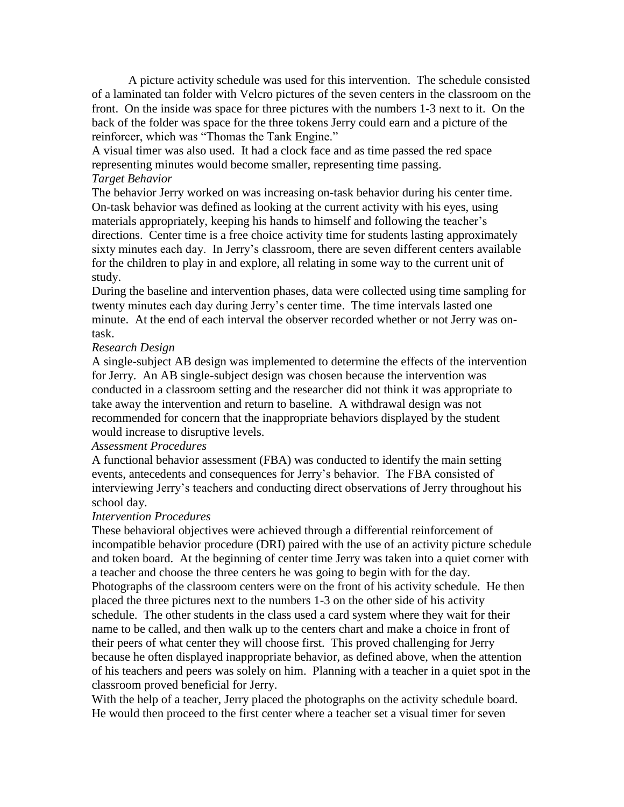A picture activity schedule was used for this intervention. The schedule consisted of a laminated tan folder with Velcro pictures of the seven centers in the classroom on the front. On the inside was space for three pictures with the numbers 1-3 next to it. On the back of the folder was space for the three tokens Jerry could earn and a picture of the reinforcer, which was "Thomas the Tank Engine."

A visual timer was also used. It had a clock face and as time passed the red space representing minutes would become smaller, representing time passing. *Target Behavior*

The behavior Jerry worked on was increasing on-task behavior during his center time. On-task behavior was defined as looking at the current activity with his eyes, using materials appropriately, keeping his hands to himself and following the teacher's directions. Center time is a free choice activity time for students lasting approximately sixty minutes each day. In Jerry's classroom, there are seven different centers available for the children to play in and explore, all relating in some way to the current unit of study.

During the baseline and intervention phases, data were collected using time sampling for twenty minutes each day during Jerry's center time. The time intervals lasted one minute. At the end of each interval the observer recorded whether or not Jerry was ontask.

# *Research Design*

A single-subject AB design was implemented to determine the effects of the intervention for Jerry. An AB single-subject design was chosen because the intervention was conducted in a classroom setting and the researcher did not think it was appropriate to take away the intervention and return to baseline. A withdrawal design was not recommended for concern that the inappropriate behaviors displayed by the student would increase to disruptive levels.

# *Assessment Procedures*

A functional behavior assessment (FBA) was conducted to identify the main setting events, antecedents and consequences for Jerry's behavior. The FBA consisted of interviewing Jerry's teachers and conducting direct observations of Jerry throughout his school day.

# *Intervention Procedures*

These behavioral objectives were achieved through a differential reinforcement of incompatible behavior procedure (DRI) paired with the use of an activity picture schedule and token board. At the beginning of center time Jerry was taken into a quiet corner with a teacher and choose the three centers he was going to begin with for the day. Photographs of the classroom centers were on the front of his activity schedule. He then placed the three pictures next to the numbers 1-3 on the other side of his activity schedule. The other students in the class used a card system where they wait for their name to be called, and then walk up to the centers chart and make a choice in front of their peers of what center they will choose first. This proved challenging for Jerry because he often displayed inappropriate behavior, as defined above, when the attention of his teachers and peers was solely on him. Planning with a teacher in a quiet spot in the classroom proved beneficial for Jerry.

With the help of a teacher, Jerry placed the photographs on the activity schedule board. He would then proceed to the first center where a teacher set a visual timer for seven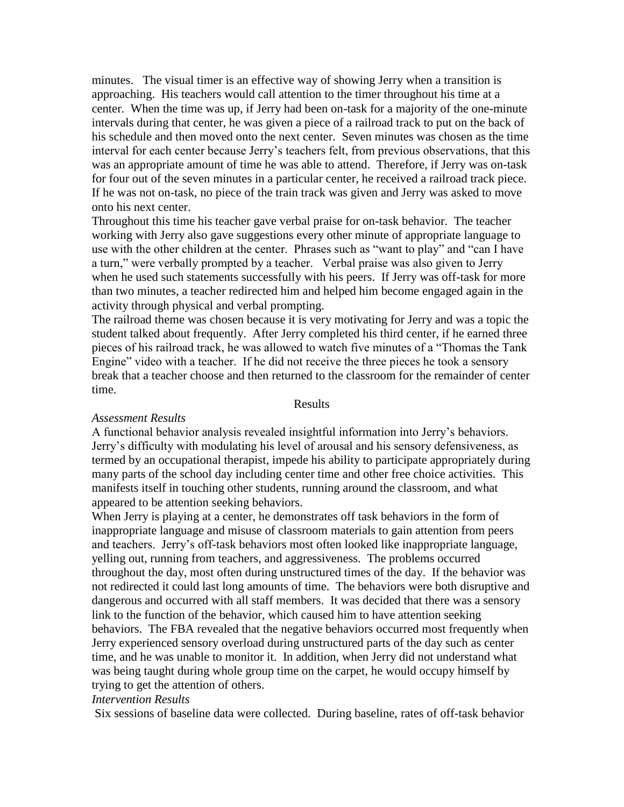minutes. The visual timer is an effective way of showing Jerry when a transition is approaching. His teachers would call attention to the timer throughout his time at a center. When the time was up, if Jerry had been on-task for a majority of the one-minute intervals during that center, he was given a piece of a railroad track to put on the back of his schedule and then moved onto the next center. Seven minutes was chosen as the time interval for each center because Jerry's teachers felt, from previous observations, that this was an appropriate amount of time he was able to attend. Therefore, if Jerry was on-task for four out of the seven minutes in a particular center, he received a railroad track piece. If he was not on-task, no piece of the train track was given and Jerry was asked to move onto his next center.

Throughout this time his teacher gave verbal praise for on-task behavior. The teacher working with Jerry also gave suggestions every other minute of appropriate language to use with the other children at the center. Phrases such as "want to play" and "can I have a turn," were verbally prompted by a teacher. Verbal praise was also given to Jerry when he used such statements successfully with his peers. If Jerry was off-task for more than two minutes, a teacher redirected him and helped him become engaged again in the activity through physical and verbal prompting.

The railroad theme was chosen because it is very motivating for Jerry and was a topic the student talked about frequently. After Jerry completed his third center, if he earned three pieces of his railroad track, he was allowed to watch five minutes of a "Thomas the Tank Engine" video with a teacher. If he did not receive the three pieces he took a sensory break that a teacher choose and then returned to the classroom for the remainder of center time.

#### Results

#### *Assessment Results*

A functional behavior analysis revealed insightful information into Jerry's behaviors. Jerry's difficulty with modulating his level of arousal and his sensory defensiveness, as termed by an occupational therapist, impede his ability to participate appropriately during many parts of the school day including center time and other free choice activities. This manifests itself in touching other students, running around the classroom, and what appeared to be attention seeking behaviors.

When Jerry is playing at a center, he demonstrates off task behaviors in the form of inappropriate language and misuse of classroom materials to gain attention from peers and teachers. Jerry's off-task behaviors most often looked like inappropriate language, yelling out, running from teachers, and aggressiveness. The problems occurred throughout the day, most often during unstructured times of the day. If the behavior was not redirected it could last long amounts of time. The behaviors were both disruptive and dangerous and occurred with all staff members. It was decided that there was a sensory link to the function of the behavior, which caused him to have attention seeking behaviors. The FBA revealed that the negative behaviors occurred most frequently when Jerry experienced sensory overload during unstructured parts of the day such as center time, and he was unable to monitor it. In addition, when Jerry did not understand what was being taught during whole group time on the carpet, he would occupy himself by trying to get the attention of others.

## *Intervention Results*

Six sessions of baseline data were collected. During baseline, rates of off-task behavior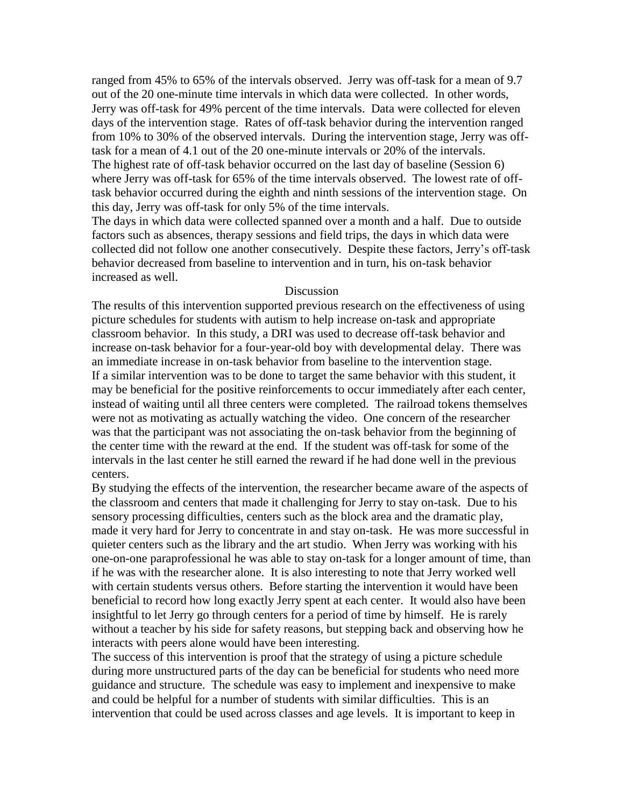ranged from 45% to 65% of the intervals observed. Jerry was off-task for a mean of 9.7 out of the 20 one-minute time intervals in which data were collected. In other words, Jerry was off-task for 49% percent of the time intervals. Data were collected for eleven days of the intervention stage. Rates of off-task behavior during the intervention ranged from 10% to 30% of the observed intervals. During the intervention stage, Jerry was offtask for a mean of 4.1 out of the 20 one-minute intervals or 20% of the intervals. The highest rate of off-task behavior occurred on the last day of baseline (Session 6) where Jerry was off-task for 65% of the time intervals observed. The lowest rate of offtask behavior occurred during the eighth and ninth sessions of the intervention stage. On this day, Jerry was off-task for only 5% of the time intervals.

The days in which data were collected spanned over a month and a half. Due to outside factors such as absences, therapy sessions and field trips, the days in which data were collected did not follow one another consecutively. Despite these factors, Jerry's off-task behavior decreased from baseline to intervention and in turn, his on-task behavior increased as well.

## Discussion

The results of this intervention supported previous research on the effectiveness of using picture schedules for students with autism to help increase on-task and appropriate classroom behavior. In this study, a DRI was used to decrease off-task behavior and increase on-task behavior for a four-year-old boy with developmental delay. There was an immediate increase in on-task behavior from baseline to the intervention stage. If a similar intervention was to be done to target the same behavior with this student, it may be beneficial for the positive reinforcements to occur immediately after each center, instead of waiting until all three centers were completed. The railroad tokens themselves were not as motivating as actually watching the video. One concern of the researcher was that the participant was not associating the on-task behavior from the beginning of the center time with the reward at the end. If the student was off-task for some of the intervals in the last center he still earned the reward if he had done well in the previous centers.

By studying the effects of the intervention, the researcher became aware of the aspects of the classroom and centers that made it challenging for Jerry to stay on-task. Due to his sensory processing difficulties, centers such as the block area and the dramatic play, made it very hard for Jerry to concentrate in and stay on-task. He was more successful in quieter centers such as the library and the art studio. When Jerry was working with his one-on-one paraprofessional he was able to stay on-task for a longer amount of time, than if he was with the researcher alone. It is also interesting to note that Jerry worked well with certain students versus others. Before starting the intervention it would have been beneficial to record how long exactly Jerry spent at each center. It would also have been insightful to let Jerry go through centers for a period of time by himself. He is rarely without a teacher by his side for safety reasons, but stepping back and observing how he interacts with peers alone would have been interesting.

The success of this intervention is proof that the strategy of using a picture schedule during more unstructured parts of the day can be beneficial for students who need more guidance and structure. The schedule was easy to implement and inexpensive to make and could be helpful for a number of students with similar difficulties. This is an intervention that could be used across classes and age levels. It is important to keep in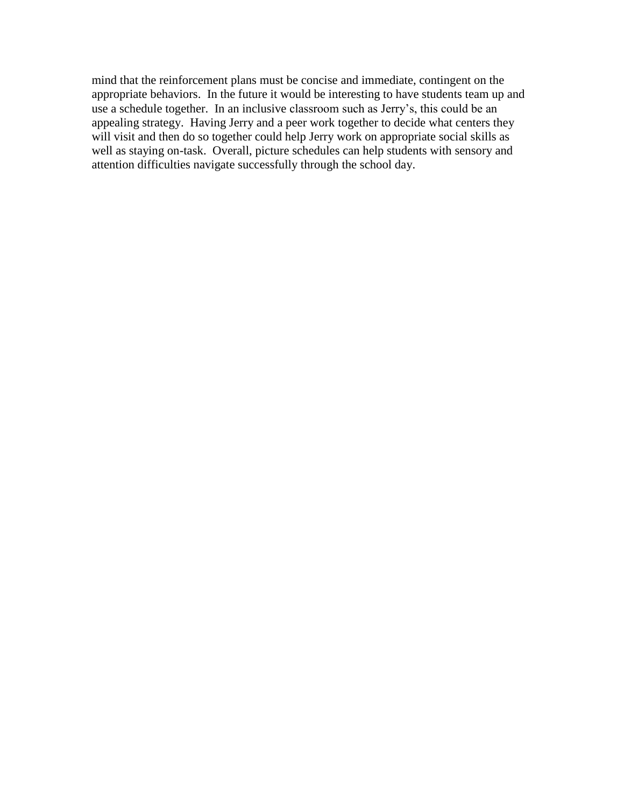mind that the reinforcement plans must be concise and immediate, contingent on the appropriate behaviors. In the future it would be interesting to have students team up and use a schedule together. In an inclusive classroom such as Jerry's, this could be an appealing strategy. Having Jerry and a peer work together to decide what centers they will visit and then do so together could help Jerry work on appropriate social skills as well as staying on-task. Overall, picture schedules can help students with sensory and attention difficulties navigate successfully through the school day.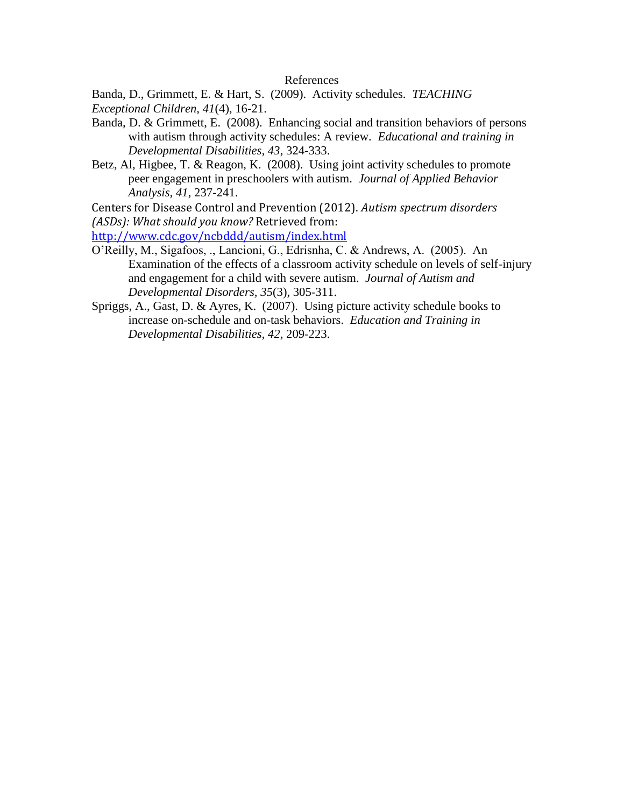## References

Banda, D., Grimmett, E. & Hart, S. (2009). Activity schedules. *TEACHING Exceptional Children, 41*(4), 16-21.

- Banda, D. & Grimmett, E. (2008). Enhancing social and transition behaviors of persons with autism through activity schedules: A review. *Educational and training in Developmental Disabilities, 43*, 324-333.
- Betz, Al, Higbee, T. & Reagon, K. (2008). Using joint activity schedules to promote peer engagement in preschoolers with autism. *Journal of Applied Behavior Analysis, 41*, 237-241.

Centers for Disease Control and Prevention (2012). *Autism spectrum disorders (ASDs): What should you know?* Retrieved from:

<http://www.cdc.gov/ncbddd/autism/index.html>

- O'Reilly, M., Sigafoos, ., Lancioni, G., Edrisnha, C. & Andrews, A. (2005). An Examination of the effects of a classroom activity schedule on levels of self-injury and engagement for a child with severe autism. *Journal of Autism and Developmental Disorders, 35*(3), 305-311.
- Spriggs, A., Gast, D. & Ayres, K. (2007). Using picture activity schedule books to increase on-schedule and on-task behaviors. *Education and Training in Developmental Disabilities, 42*, 209-223.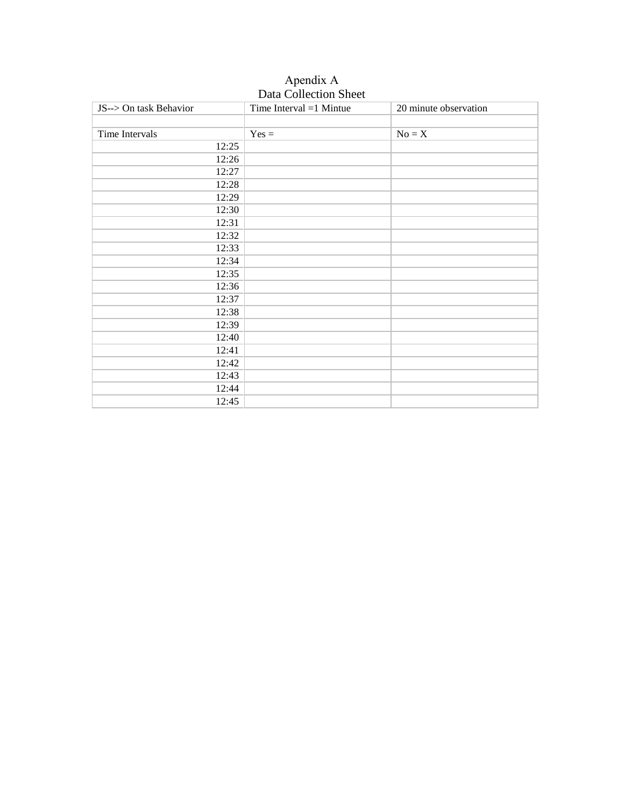| JS--> On task Behavior | Daia Concentra Bricer<br>Time Interval $=1$ Mintue | 20 minute observation |
|------------------------|----------------------------------------------------|-----------------------|
|                        |                                                    |                       |
|                        |                                                    |                       |
| Time Intervals         | $Yes =$                                            | $No = X$              |
| 12:25                  |                                                    |                       |
| 12:26                  |                                                    |                       |
| 12:27                  |                                                    |                       |
| 12:28                  |                                                    |                       |
| 12:29                  |                                                    |                       |
| 12:30                  |                                                    |                       |
| 12:31                  |                                                    |                       |
| 12:32                  |                                                    |                       |
| 12:33                  |                                                    |                       |
| 12:34                  |                                                    |                       |
| 12:35                  |                                                    |                       |
| 12:36                  |                                                    |                       |
| 12:37                  |                                                    |                       |
| 12:38                  |                                                    |                       |
| 12:39                  |                                                    |                       |
| 12:40                  |                                                    |                       |
| 12:41                  |                                                    |                       |
| 12:42                  |                                                    |                       |
| 12:43                  |                                                    |                       |
| 12:44                  |                                                    |                       |
| 12:45                  |                                                    |                       |

Apendix A Data Collection Sheet